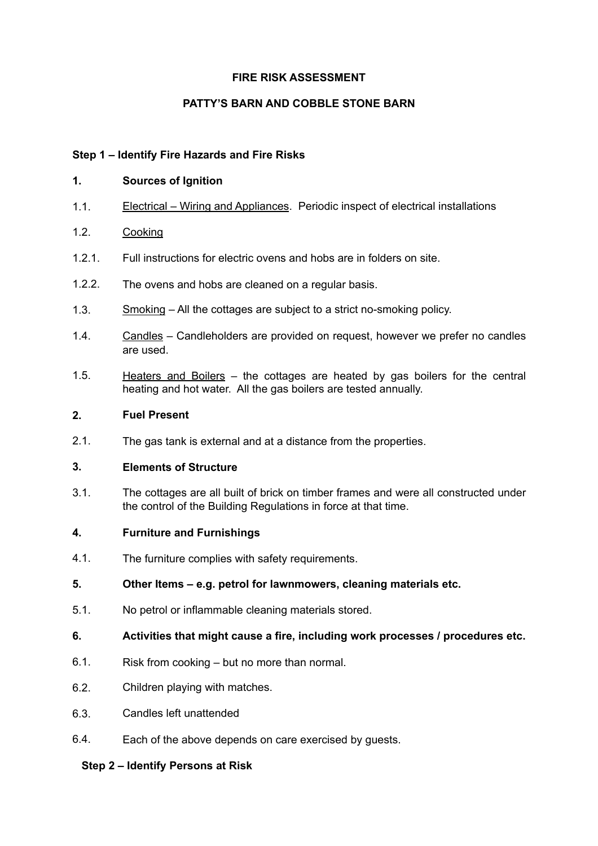## **FIRE RISK ASSESSMENT**

# **PATTY'S BARN AND COBBLE STONE BARN**

### **Step 1 – Identify Fire Hazards and Fire Risks**

#### **1. Sources of Ignition**

- 1.1. Electrical Wiring and Appliances. Periodic inspect of electrical installations
- 1.2. Cooking
- 1.2.1. Full instructions for electric ovens and hobs are in folders on site.
- 1.2.2. The ovens and hobs are cleaned on a regular basis.
- 1.3. Smoking All the cottages are subject to a strict no-smoking policy.
- 1.4. Candles Candleholders are provided on request, however we prefer no candles are used.
- 1.5. Heaters and Boilers the cottages are heated by gas boilers for the central heating and hot water. All the gas boilers are tested annually.

#### **2. Fuel Present**

2.1. The gas tank is external and at a distance from the properties.

## **3. Elements of Structure**

3.1. The cottages are all built of brick on timber frames and were all constructed under the control of the Building Regulations in force at that time.

#### **4. Furniture and Furnishings**

- 4.1. The furniture complies with safety requirements.
- **5. Other Items e.g. petrol for lawnmowers, cleaning materials etc.**
- 5.1. No petrol or inflammable cleaning materials stored.
- **6. Activities that might cause a fire, including work processes / procedures etc.**
- 6.1. Risk from cooking but no more than normal.
- 6.2. Children playing with matches.
- 6.3. Candles left unattended
- 6.4. Each of the above depends on care exercised by guests.

#### **Step 2 – Identify Persons at Risk**